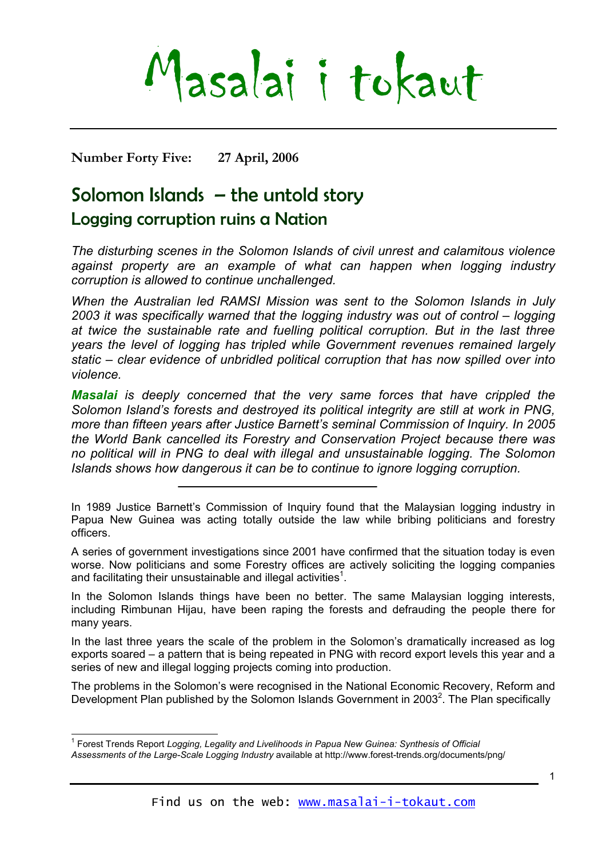# Masalai i tokaut

**Number Forty Five: 27 April, 2006** 

## Solomon Islands – the untold story

### Logging corruption ruins a Nation

*The disturbing scenes in the Solomon Islands of civil unrest and calamitous violence against property are an example of what can happen when logging industry corruption is allowed to continue unchallenged.* 

*When the Australian led RAMSI Mission was sent to the Solomon Islands in July 2003 it was specifically warned that the logging industry was out of control – logging at twice the sustainable rate and fuelling political corruption. But in the last three years the level of logging has tripled while Government revenues remained largely static – clear evidence of unbridled political corruption that has now spilled over into violence.* 

*Masalai is deeply concerned that the very same forces that have crippled the Solomon Island's forests and destroyed its political integrity are still at work in PNG, more than fifteen years after Justice Barnett's seminal Commission of Inquiry. In 2005 the World Bank cancelled its Forestry and Conservation Project because there was no political will in PNG to deal with illegal and unsustainable logging. The Solomon Islands shows how dangerous it can be to continue to ignore logging corruption.* 

A series of government investigations since 2001 have confirmed that the situation today is even worse. Now politicians and some Forestry offices are actively soliciting the logging companies and facilitating their unsustainable and illegal activities<sup>[1](#page-0-0)</sup>.

In the Solomon Islands things have been no better. The same Malaysian logging interests, including Rimbunan Hijau, have been raping the forests and defrauding the people there for many years.

In the last three years the scale of the problem in the Solomon's dramatically increased as log exports soared – a pattern that is being repeated in PNG with record export levels this year and a series of new and illegal logging projects coming into production.

<span id="page-0-1"></span>The problems in the Solomon's were recognised in the National Economic Recovery, Reform and Development Plan published by the Solomon Islands Government in [2](#page-0-1)003<sup>2</sup>. The Plan specifically

In 1989 Justice Barnett's Commission of Inquiry found that the Malaysian logging industry in Papua New Guinea was acting totally outside the law while bribing politicians and forestry officers.

<span id="page-0-0"></span> 1 Forest Trends Report *Logging, Legality and Livelihoods in Papua New Guinea: Synthesis of Official Assessments of the Large-Scale Logging Industry* available at http://www.forest-trends.org/documents/png/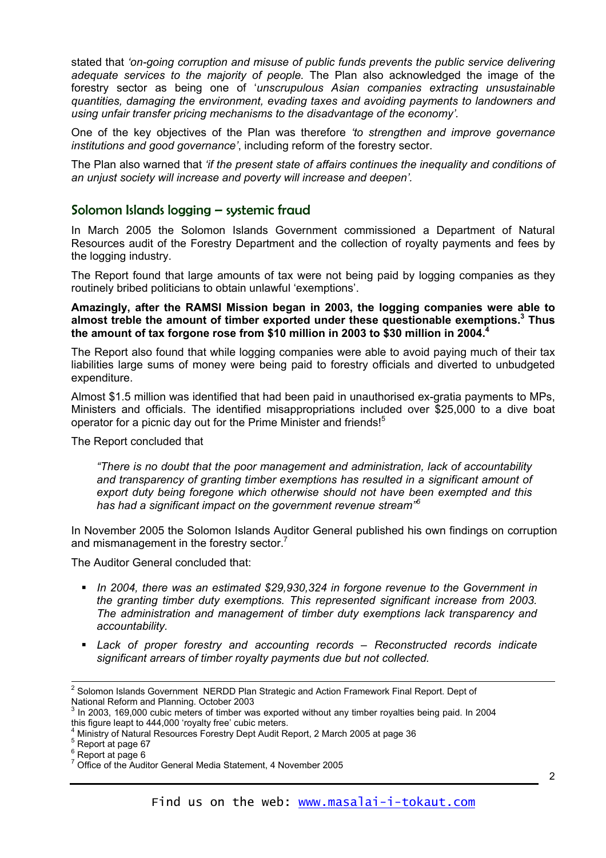stated that *'on-going corruption and misuse of public funds prevents the public service delivering adequate services to the majority of people.* The Plan also acknowledged the image of the forestry sector as being one of '*unscrupulous Asian companies extracting unsustainable quantities, damaging the environment, evading taxes and avoiding payments to landowners and using unfair transfer pricing mechanisms to the disadvantage of the economy'.*

One of the key objectives of the Plan was therefore *'to strengthen and improve governance institutions and good governance'*, including reform of the forestry sector.

The Plan also warned that *'if the present state of affairs continues the inequality and conditions of an unjust society will increase and poverty will increase and deepen'.*

#### Solomon Islands logging – systemic fraud

In March 2005 the Solomon Islands Government commissioned a Department of Natural Resources audit of the Forestry Department and the collection of royalty payments and fees by the logging industry.

The Report found that large amounts of tax were not being paid by logging companies as they routinely bribed politicians to obtain unlawful 'exemptions'.

**Amazingly, after the RAMSI Mission began in 2003, the logging companies were able to almost treble the amount of timber exported under these questionable exemptions.[3](#page-1-0) Thus the amount of tax forgone rose from \$10 million in 2003 to \$30 million in 2004[.4](#page-1-1)**

The Report also found that while logging companies were able to avoid paying much of their tax liabilities large sums of money were being paid to forestry officials and diverted to unbudgeted expenditure.

Almost \$1.5 million was identified that had been paid in unauthorised ex-gratia payments to MPs, Ministers and officials. The identified misappropriations included over \$25,000 to a dive boat operator for a picnic day out for the Prime Minister and friends!<sup>[5](#page-1-2)</sup>

The Report concluded that

*"There is no doubt that the poor management and administration, lack of accountability and transparency of granting timber exemptions has resulted in a significant amount of export duty being foregone which otherwise should not have been exempted and this has had a significant impact on the government revenue stream" [6](#page-1-3)*

In November 2005 the Solomon Islands Auditor General published his own findings on corruption and mismanagement in the forestry sector. $<sup>7</sup>$ </sup>

The Auditor General concluded that:

- *In 2004, there was an estimated \$29,930,324 in forgone revenue to the Government in the granting timber duty exemptions. This represented significant increase from 2003. The administration and management of timber duty exemptions lack transparency and accountability.*
- *Lack of proper forestry and accounting records Reconstructed records indicate significant arrears of timber royalty payments due but not collected.*

 <sup>2</sup> Solomon Islands Government NERDD Plan Strategic and Action Framework Final Report. Dept of National Reform and Planning. October 2003

<span id="page-1-0"></span>In 2003, 169,000 cubic meters of timber was exported without any timber royalties being paid. In 2004 this figure leapt to 444,000 'royalty free' cubic meters.

<span id="page-1-1"></span>Ministry of Natural Resources Forestry Dept Audit Report, 2 March 2005 at page 36 <sup>5</sup>

<span id="page-1-2"></span> $5$  Report at page 67

<span id="page-1-3"></span> $6$  Report at page 6

<span id="page-1-4"></span><sup>&</sup>lt;sup>7</sup> Office of the Auditor General Media Statement, 4 November 2005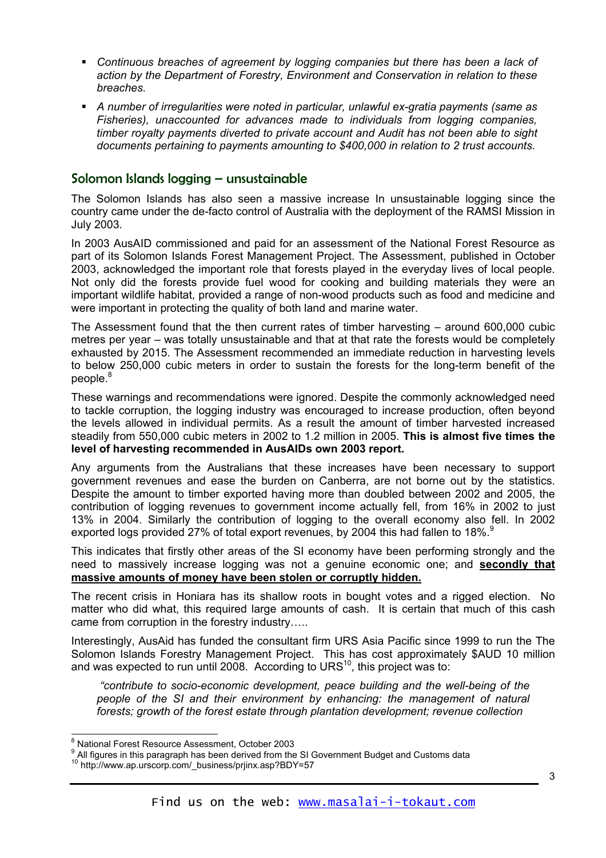- *Continuous breaches of agreement by logging companies but there has been a lack of action by the Department of Forestry, Environment and Conservation in relation to these breaches.*
- *A number of irregularities were noted in particular, unlawful ex-gratia payments (same as Fisheries), unaccounted for advances made to individuals from logging companies, timber royalty payments diverted to private account and Audit has not been able to sight documents pertaining to payments amounting to \$400,000 in relation to 2 trust accounts.*

#### Solomon Islands logging – unsustainable

The Solomon Islands has also seen a massive increase In unsustainable logging since the country came under the de-facto control of Australia with the deployment of the RAMSI Mission in July 2003.

In 2003 AusAID commissioned and paid for an assessment of the National Forest Resource as part of its Solomon Islands Forest Management Project. The Assessment, published in October 2003, acknowledged the important role that forests played in the everyday lives of local people. Not only did the forests provide fuel wood for cooking and building materials they were an important wildlife habitat, provided a range of non-wood products such as food and medicine and were important in protecting the quality of both land and marine water.

The Assessment found that the then current rates of timber harvesting – around 600,000 cubic metres per year – was totally unsustainable and that at that rate the forests would be completely exhausted by 2015. The Assessment recommended an immediate reduction in harvesting levels to below 250,000 cubic meters in order to sustain the forests for the long-term benefit of the people.<sup>8</sup>

These warnings and recommendations were ignored. Despite the commonly acknowledged need to tackle corruption, the logging industry was encouraged to increase production, often beyond the levels allowed in individual permits. As a result the amount of timber harvested increased steadily from 550,000 cubic meters in 2002 to 1.2 million in 2005. **This is almost five times the level of harvesting recommended in AusAIDs own 2003 report.**

Any arguments from the Australians that these increases have been necessary to support government revenues and ease the burden on Canberra, are not borne out by the statistics. Despite the amount to timber exported having more than doubled between 2002 and 2005, the contribution of logging revenues to government income actually fell, from 16% in 2002 to just 13% in 2004. Similarly the contribution of logging to the overall economy also fell. In 2002 exported logs provided 27% of total export revenues, by 2004 this had fallen to 18%.<sup>[9](#page-2-1)</sup>

This indicates that firstly other areas of the SI economy have been performing strongly and the need to massively increase logging was not a genuine economic one; and **secondly that massive amounts of money have been stolen or corruptly hidden.** 

The recent crisis in Honiara has its shallow roots in bought votes and a rigged election. No matter who did what, this required large amounts of cash. It is certain that much of this cash came from corruption in the forestry industry…..

Interestingly, AusAid has funded the consultant firm URS Asia Pacific since 1999 to run the The Solomon Islands Forestry Management Project. This has cost approximately \$AUD 10 million and was expected to run until 2008. According to URS $^{10}$ , this project was to:

*"contribute to socio-economic development, peace building and the well-being of the people of the SI and their environment by enhancing: the management of natural forests; growth of the forest estate through plantation development; revenue collection* 

<span id="page-2-0"></span> <sup>8</sup>  $\frac{8}{9}$  National Forest Resource Assessment, October 2003<br> $\frac{9}{9}$  All figures in this percaranh has been derived from the

<span id="page-2-1"></span><sup>&</sup>lt;sup>9</sup> All figures in this paragraph has been derived from the SI Government Budget and Customs data

<span id="page-2-2"></span><sup>10</sup> http://www.ap.urscorp.com/\_business/prjinx.asp?BDY=57